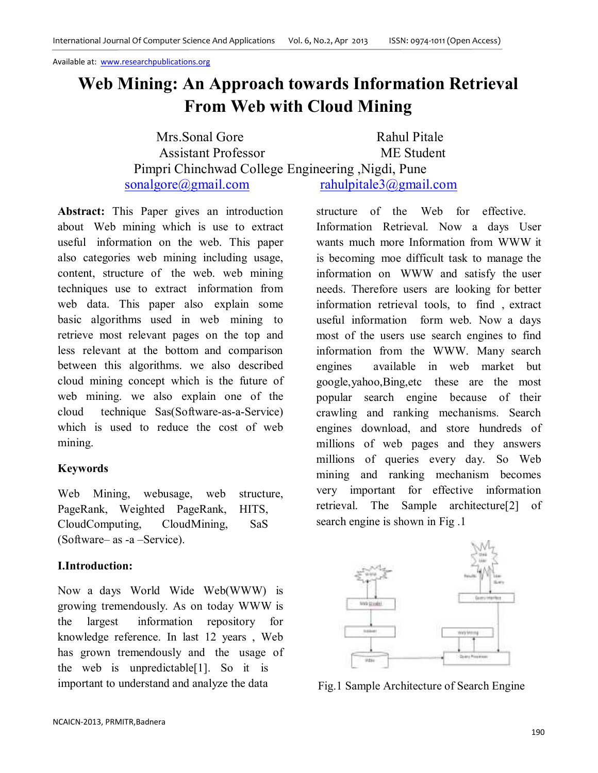# **Web Mining: An Approach towards Information Retrieval From Web with Cloud Mining**

Mrs. Sonal Gore Rahul Pitale Assistant Professor ME Student Pimpri Chinchwad College Engineering ,Nigdi, Pune sonalgore@gmail.com rahulpitale3@gmail.com

**Abstract:** This Paper gives an introduction about Web mining which is use to extract useful information on the web. This paper also categories web mining including usage, content, structure of the web. web mining techniques use to extract information from web data. This paper also explain some basic algorithms used in web mining to retrieve most relevant pages on the top and less relevant at the bottom and comparison between this algorithms. we also described cloud mining concept which is the future of web mining. we also explain one of the cloud technique Sas(Software-as-a-Service) which is used to reduce the cost of web mining.

# **Keywords**

Web Mining, webusage, web structure, PageRank, Weighted PageRank, HITS, CloudComputing, CloudMining, SaS (Software– as -a –Service).

# **I.Introduction:**

Now a days World Wide Web(WWW) is growing tremendously. As on today WWW is the largest information repository for knowledge reference. In last 12 years , Web has grown tremendously and the usage of the web is unpredictable[1]. So it is important to understand and analyze the data

structure of the Web for effective. Information Retrieval. Now a days User wants much more Information from WWW it is becoming moe difficult task to manage the information on WWW and satisfy the user needs. Therefore users are looking for better information retrieval tools, to find , extract useful information form web. Now a days most of the users use search engines to find information from the WWW. Many search engines available in web market but google,yahoo,Bing,etc these are the most popular search engine because of their crawling and ranking mechanisms. Search engines download, and store hundreds of millions of web pages and they answers millions of queries every day. So Web mining and ranking mechanism becomes very important for effective information retrieval. The Sample architecture[2] of search engine is shown in Fig .1



Fig.1 Sample Architecture of Search Engine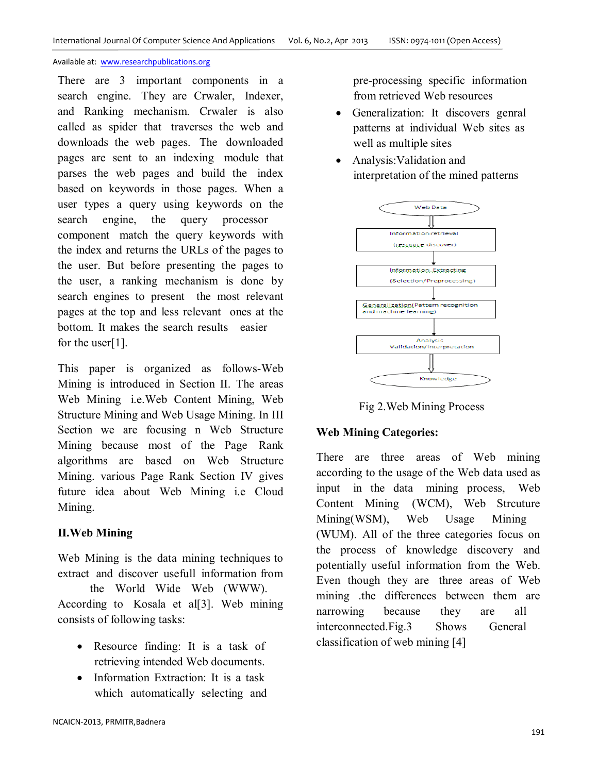There are 3 important components in a search engine. They are Crwaler, Indexer, and Ranking mechanism. Crwaler is also called as spider that traverses the web and downloads the web pages. The downloaded pages are sent to an indexing module that parses the web pages and build the index based on keywords in those pages. When a user types a query using keywords on the search engine, the query processor component match the query keywords with the index and returns the URLs of the pages to the user. But before presenting the pages to the user, a ranking mechanism is done by search engines to present the most relevant pages at the top and less relevant ones at the bottom. It makes the search results easier for the user[1].

This paper is organized as follows-Web Mining is introduced in Section II. The areas Web Mining i.e.Web Content Mining, Web Structure Mining and Web Usage Mining. In III Section we are focusing n Web Structure Mining because most of the Page Rank algorithms are based on Web Structure Mining. various Page Rank Section IV gives future idea about Web Mining i.e Cloud Mining.

# **II.Web Mining**

Web Mining is the data mining techniques to extract and discover usefull information from

 the World Wide Web (WWW). According to Kosala et al[3]. Web mining consists of following tasks:

- Resource finding: It is a task of retrieving intended Web documents.
- Information Extraction: It is a task which automatically selecting and

pre-processing specific information from retrieved Web resources

- Generalization: It discovers genral patterns at individual Web sites as well as multiple sites
- Analysis:Validation and interpretation of the mined patterns



Fig 2.Web Mining Process

# **Web Mining Categories:**

There are three areas of Web mining according to the usage of the Web data used as input in the data mining process, Web Content Mining (WCM), Web Strcuture Mining(WSM), Web Usage Mining (WUM). All of the three categories focus on the process of knowledge discovery and potentially useful information from the Web. Even though they are three areas of Web mining .the differences between them are narrowing because they are all interconnected.Fig.3 Shows General classification of web mining [4]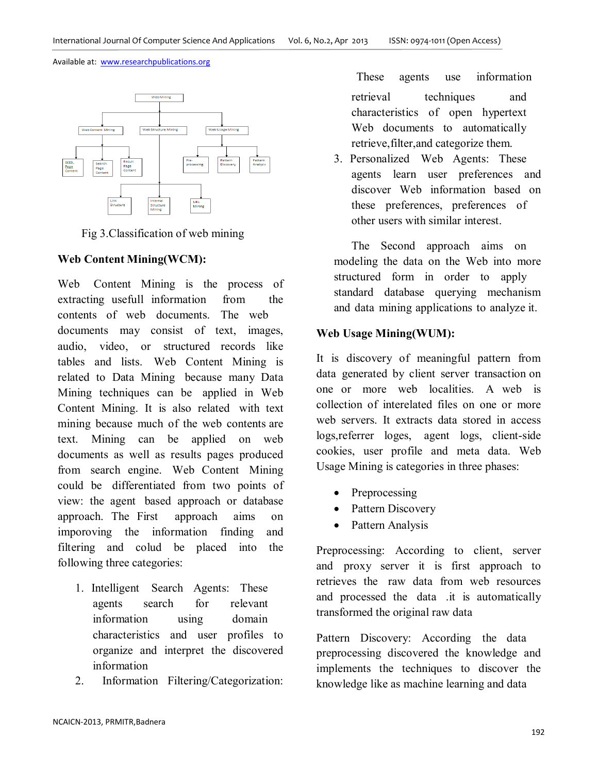

Fig 3.Classification of web mining

# **Web Content Mining(WCM):**

Web Content Mining is the process of extracting usefull information from the contents of web documents. The web documents may consist of text, images, audio, video, or structured records like tables and lists. Web Content Mining is related to Data Mining because many Data Mining techniques can be applied in Web Content Mining. It is also related with text mining because much of the web contents are text. Mining can be applied on web documents as well as results pages produced from search engine. Web Content Mining could be differentiated from two points of view: the agent based approach or database approach. The First approach aims on imporoving the information finding and filtering and colud be placed into the following three categories:

- 1. Intelligent Search Agents: These agents search for relevant information using domain characteristics and user profiles to organize and interpret the discovered information
- 2. Information Filtering/Categorization:

These agents use information retrieval techniques and characteristics of open hypertext Web documents to automatically retrieve,filter,and categorize them.

3. Personalized Web Agents: These agents learn user preferences and discover Web information based on these preferences, preferences of other users with similar interest.

The Second approach aims on modeling the data on the Web into more structured form in order to apply standard database querying mechanism and data mining applications to analyze it.

# **Web Usage Mining(WUM):**

It is discovery of meaningful pattern from data generated by client server transaction on one or more web localities. A web is collection of interelated files on one or more web servers. It extracts data stored in access logs,referrer loges, agent logs, client-side cookies, user profile and meta data. Web Usage Mining is categories in three phases:

- **Preprocessing**
- Pattern Discovery
- Pattern Analysis

Preprocessing: According to client, server and proxy server it is first approach to retrieves the raw data from web resources and processed the data .it is automatically transformed the original raw data

Pattern Discovery: According the data preprocessing discovered the knowledge and implements the techniques to discover the knowledge like as machine learning and data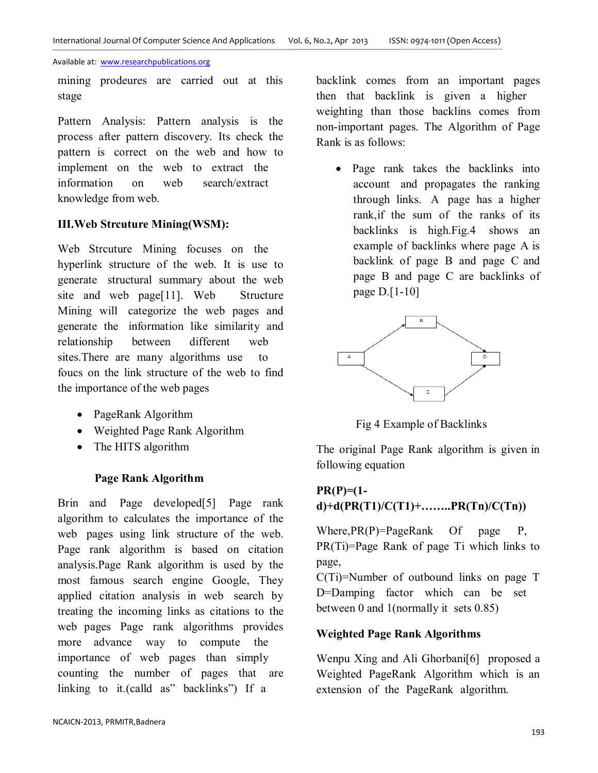mining prodeures are carried out at this stage

Pattern Analysis: Pattern analysis is the process after pattern discovery. Its check the pattern is correct on the web and how to implement on the web to extract the information on web search/extract knowledge from web.

# **III.Web Strcuture Mining(WSM):**

Web Strcuture Mining focuses on the hyperlink structure of the web. It is use to generate structural summary about the web site and web page[11]. Web Structure Mining will categorize the web pages and generate the information like similarity and relationship between different web sites.There are many algorithms use to foucs on the link structure of the web to find the importance of the web pages

- PageRank Algorithm
- Weighted Page Rank Algorithm
- The HITS algorithm

# **Page Rank Algorithm**

Brin and Page developed[5] Page rank algorithm to calculates the importance of the web pages using link structure of the web. Page rank algorithm is based on citation analysis.Page Rank algorithm is used by the most famous search engine Google, They applied citation analysis in web search by treating the incoming links as citations to the web pages Page rank algorithms provides more advance way to compute the importance of web pages than simply counting the number of pages that are linking to it.(calld as" backlinks") If a

backlink comes from an important pages then that backlink is given a higher weighting than those backlins comes from non-important pages. The Algorithm of Page Rank is as follows:

• Page rank takes the backlinks into account and propagates the ranking through links. A page has a higher rank,if the sum of the ranks of its backlinks is high.Fig.4 shows an example of backlinks where page A is backlink of page B and page C and page B and page C are backlinks of page D.[1-10]



Fig 4 Example of Backlinks

The original Page Rank algorithm is given in following equation

# **PR(P)=(1 d)+d(PR(T1)/C(T1)+……..PR(Tn)/C(Tn))**

Where, PR(P)=PageRank Of page P, PR(Ti)=Page Rank of page Ti which links to page,

C(Ti)=Number of outbound links on page T D=Damping factor which can be set between 0 and 1(normally it sets 0.85)

### **Weighted Page Rank Algorithms**

Wenpu Xing and Ali Ghorbani[6] proposed a Weighted PageRank Algorithm which is an extension of the PageRank algorithm.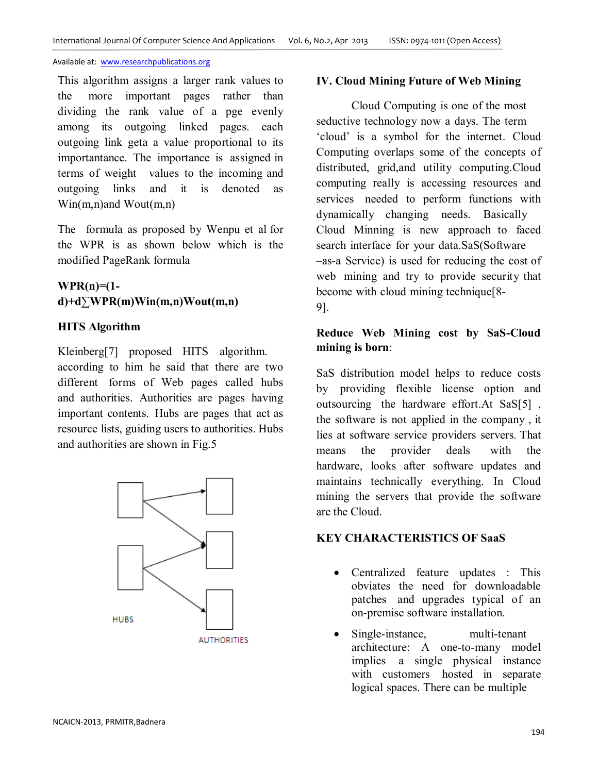This algorithm assigns a larger rank values to the more important pages rather than dividing the rank value of a pge evenly among its outgoing linked pages. each outgoing link geta a value proportional to its importantance. The importance is assigned in terms of weight values to the incoming and outgoing links and it is denoted as Win(m,n)and Wout(m,n)

The formula as proposed by Wenpu et al for the WPR is as shown below which is the modified PageRank formula

# **WPR(n)=(1 d)+d∑WPR(m)Win(m,n)Wout(m,n)**

# **HITS Algorithm**

Kleinberg[7] proposed HITS algorithm. according to him he said that there are two different forms of Web pages called hubs and authorities. Authorities are pages having important contents. Hubs are pages that act as resource lists, guiding users to authorities. Hubs and authorities are shown in Fig.5



## **IV. Cloud Mining Future of Web Mining**

Cloud Computing is one of the most seductive technology now a days. The term 'cloud' is a symbol for the internet. Cloud Computing overlaps some of the concepts of distributed, grid,and utility computing.Cloud computing really is accessing resources and services needed to perform functions with dynamically changing needs. Basically Cloud Minning is new approach to faced search interface for your data.SaS(Software –as-a Service) is used for reducing the cost of web mining and try to provide security that become with cloud mining technique[8- 9].

# **Reduce Web Mining cost by SaS-Cloud mining is born**:

SaS distribution model helps to reduce costs by providing flexible license option and outsourcing the hardware effort.At SaS[5] , the software is not applied in the company , it lies at software service providers servers. That means the provider deals with the hardware, looks after software updates and maintains technically everything. In Cloud mining the servers that provide the software are the Cloud.

# **KEY CHARACTERISTICS OF SaaS**

- Centralized feature updates : This obviates the need for downloadable patches and upgrades typical of an on-premise software installation.
- Single-instance, multi-tenant architecture: A one-to-many model implies a single physical instance with customers hosted in separate logical spaces. There can be multiple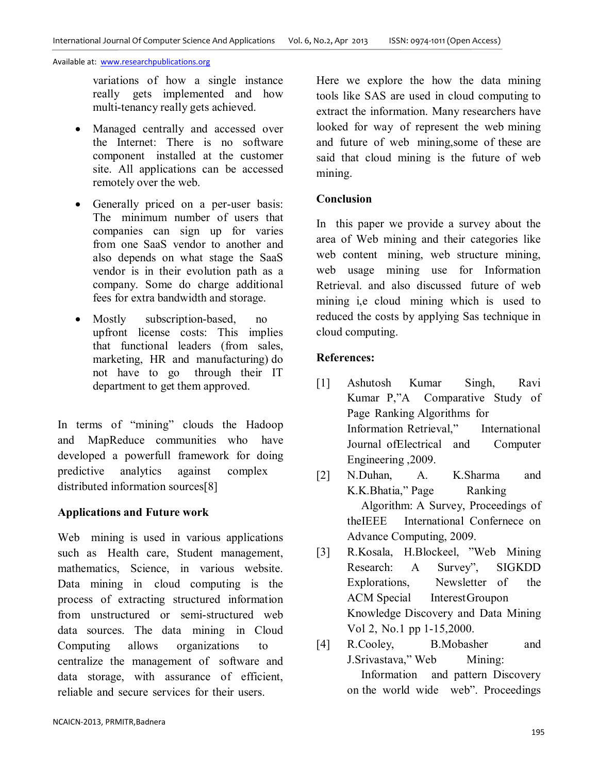variations of how a single instance really gets implemented and how multi-tenancy really gets achieved.

- Managed centrally and accessed over the Internet: There is no software component installed at the customer site. All applications can be accessed remotely over the web.
- Generally priced on a per-user basis: The minimum number of users that companies can sign up for varies from one SaaS vendor to another and also depends on what stage the SaaS vendor is in their evolution path as a company. Some do charge additional fees for extra bandwidth and storage.
- Mostly subscription-based, no upfront license costs: This implies that functional leaders (from sales, marketing, HR and manufacturing) do not have to go through their IT department to get them approved.

In terms of "mining" clouds the Hadoop and MapReduce communities who have developed a powerfull framework for doing predictive analytics against complex distributed information sources[8]

# **Applications and Future work**

Web mining is used in various applications such as Health care, Student management, mathematics, Science, in various website. Data mining in cloud computing is the process of extracting structured information from unstructured or semi-structured web data sources. The data mining in Cloud Computing allows organizations to centralize the management of software and data storage, with assurance of efficient, reliable and secure services for their users.

Here we explore the how the data mining tools like SAS are used in cloud computing to extract the information. Many researchers have looked for way of represent the web mining and future of web mining,some of these are said that cloud mining is the future of web mining.

## **Conclusion**

In this paper we provide a survey about the area of Web mining and their categories like web content mining, web structure mining, web usage mining use for Information Retrieval. and also discussed future of web mining i,e cloud mining which is used to reduced the costs by applying Sas technique in cloud computing.

## **References:**

- [1] Ashutosh Kumar Singh, Ravi Kumar P,"A Comparative Study of Page Ranking Algorithms for Information Retrieval," International Journal ofElectrical and Computer Engineering ,2009.
- [2] N.Duhan, A. K.Sharma and K.K.Bhatia," Page Ranking Algorithm: A Survey, Proceedings of theIEEE International Confernece on Advance Computing, 2009.
- [3] R.Kosala, H.Blockeel, "Web Mining Research: A Survey", SIGKDD Explorations, Newsletter of the ACM Special Interest Groupon Knowledge Discovery and Data Mining Vol 2, No.1 pp 1-15,2000.
- [4] R.Cooley, B.Mobasher and J.Srivastava," Web Mining: Information and pattern Discovery on the world wide web". Proceedings